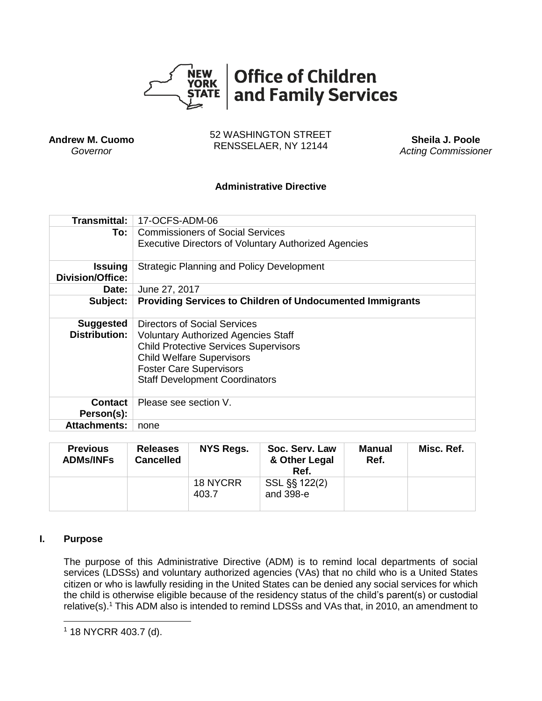

**Andrew M. Cuomo** *Governor*

52 WASHINGTON STREET RENSSELAER, NY 12144 **Sheila J. Poole**

*Acting Commissioner*

## **Administrative Directive**

| <b>Transmittal:</b>                       | 17-OCFS-ADM-06                                                                                                                                                                                                                            |  |  |  |  |
|-------------------------------------------|-------------------------------------------------------------------------------------------------------------------------------------------------------------------------------------------------------------------------------------------|--|--|--|--|
| To: l                                     | Commissioners of Social Services<br><b>Executive Directors of Voluntary Authorized Agencies</b>                                                                                                                                           |  |  |  |  |
| <b>Issuing</b><br><b>Division/Office:</b> | <b>Strategic Planning and Policy Development</b>                                                                                                                                                                                          |  |  |  |  |
| Date:                                     | June 27, 2017                                                                                                                                                                                                                             |  |  |  |  |
| Subject:                                  | <b>Providing Services to Children of Undocumented Immigrants</b>                                                                                                                                                                          |  |  |  |  |
| <b>Suggested</b><br><b>Distribution:</b>  | Directors of Social Services<br><b>Voluntary Authorized Agencies Staff</b><br><b>Child Protective Services Supervisors</b><br><b>Child Welfare Supervisors</b><br><b>Foster Care Supervisors</b><br><b>Staff Development Coordinators</b> |  |  |  |  |
| Contact<br>Person(s):                     | Please see section V.                                                                                                                                                                                                                     |  |  |  |  |
| <b>Attachments:</b>                       | none                                                                                                                                                                                                                                      |  |  |  |  |

| <b>Previous</b><br><b>ADMs/INFs</b> | <b>Releases</b><br><b>Cancelled</b> | NYS Regs.         | Soc. Serv. Law<br>& Other Legal<br>Ref. | Manual<br>Ref. | Misc. Ref. |
|-------------------------------------|-------------------------------------|-------------------|-----------------------------------------|----------------|------------|
|                                     |                                     | 18 NYCRR<br>403.7 | SSL §§ 122(2)<br>and 398-e              |                |            |

#### **I. Purpose**

 $\overline{\phantom{a}}$ 

The purpose of this Administrative Directive (ADM) is to remind local departments of social services (LDSSs) and voluntary authorized agencies (VAs) that no child who is a United States citizen or who is lawfully residing in the United States can be denied any social services for which the child is otherwise eligible because of the residency status of the child's parent(s) or custodial relative(s).<sup>1</sup> This ADM also is intended to remind LDSSs and VAs that, in 2010, an amendment to

<sup>1</sup> 18 NYCRR 403.7 (d).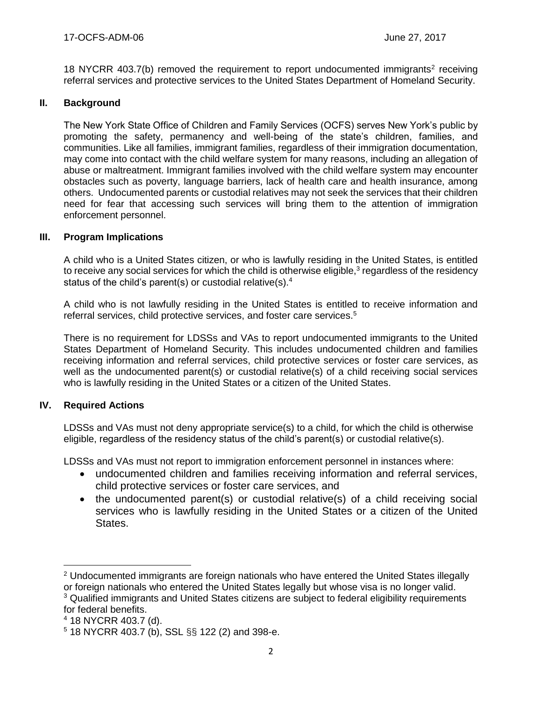18 NYCRR 403.7(b) removed the requirement to report undocumented immigrants<sup>2</sup> receiving referral services and protective services to the United States Department of Homeland Security.

#### **II. Background**

The New York State Office of Children and Family Services (OCFS) serves New York's public by promoting the safety, permanency and well-being of the state's children, families, and communities. Like all families, immigrant families, regardless of their immigration documentation, may come into contact with the child welfare system for many reasons, including an allegation of abuse or maltreatment. Immigrant families involved with the child welfare system may encounter obstacles such as poverty, language barriers, lack of health care and health insurance, among others. Undocumented parents or custodial relatives may not seek the services that their children need for fear that accessing such services will bring them to the attention of immigration enforcement personnel.

#### **III. Program Implications**

A child who is a United States citizen, or who is lawfully residing in the United States, is entitled to receive any social services for which the child is otherwise eligible,<sup>3</sup> regardless of the residency status of the child's parent(s) or custodial relative(s).<sup>4</sup>

A child who is not lawfully residing in the United States is entitled to receive information and referral services, child protective services, and foster care services.<sup>5</sup>

There is no requirement for LDSSs and VAs to report undocumented immigrants to the United States Department of Homeland Security. This includes undocumented children and families receiving information and referral services, child protective services or foster care services, as well as the undocumented parent(s) or custodial relative(s) of a child receiving social services who is lawfully residing in the United States or a citizen of the United States.

## **IV. Required Actions**

 $\overline{a}$ 

LDSSs and VAs must not deny appropriate service(s) to a child, for which the child is otherwise eligible, regardless of the residency status of the child's parent(s) or custodial relative(s).

LDSSs and VAs must not report to immigration enforcement personnel in instances where:

- undocumented children and families receiving information and referral services, child protective services or foster care services, and
- the undocumented parent(s) or custodial relative(s) of a child receiving social services who is lawfully residing in the United States or a citizen of the United States.

 $2$  Undocumented immigrants are foreign nationals who have entered the United States illegally or foreign nationals who entered the United States legally but whose visa is no longer valid. <sup>3</sup> Qualified immigrants and United States citizens are subject to federal eligibility requirements for federal benefits.

<sup>4</sup> 18 NYCRR 403.7 (d).

<sup>5</sup> 18 NYCRR 403.7 (b), SSL §§ 122 (2) and 398-e.